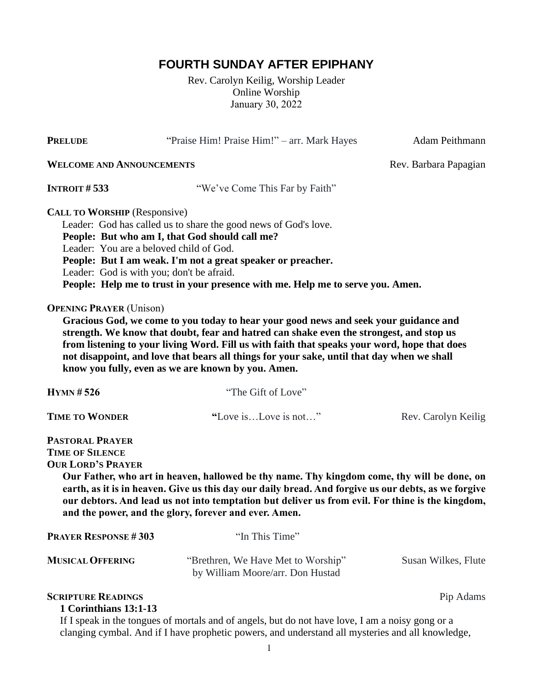# **FOURTH SUNDAY AFTER EPIPHANY**

Rev. Carolyn Keilig, Worship Leader Online Worship January 30, 2022

| <b>PRELUDE</b>                                                                                                                                                                                                                                                                                                                                                                                                                                   | "Praise Him! Praise Him!" – arr. Mark Hayes                                                                                                                                                                                                                                                                                                                                                                                         | Adam Peithmann      |  |
|--------------------------------------------------------------------------------------------------------------------------------------------------------------------------------------------------------------------------------------------------------------------------------------------------------------------------------------------------------------------------------------------------------------------------------------------------|-------------------------------------------------------------------------------------------------------------------------------------------------------------------------------------------------------------------------------------------------------------------------------------------------------------------------------------------------------------------------------------------------------------------------------------|---------------------|--|
| <b>WELCOME AND ANNOUNCEMENTS</b><br>Rev. Barbara Papagian                                                                                                                                                                                                                                                                                                                                                                                        |                                                                                                                                                                                                                                                                                                                                                                                                                                     |                     |  |
| <b>INTROIT #533</b>                                                                                                                                                                                                                                                                                                                                                                                                                              | "We've Come This Far by Faith"                                                                                                                                                                                                                                                                                                                                                                                                      |                     |  |
| <b>CALL TO WORSHIP</b> (Responsive)<br>Leader: You are a beloved child of God.<br>Leader: God is with you; don't be afraid.                                                                                                                                                                                                                                                                                                                      | Leader: God has called us to share the good news of God's love.<br>People: But who am I, that God should call me?<br>People: But I am weak. I'm not a great speaker or preacher.<br>People: Help me to trust in your presence with me. Help me to serve you. Amen.                                                                                                                                                                  |                     |  |
| <b>OPENING PRAYER (Unison)</b>                                                                                                                                                                                                                                                                                                                                                                                                                   | Gracious God, we come to you today to hear your good news and seek your guidance and<br>strength. We know that doubt, fear and hatred can shake even the strongest, and stop us<br>from listening to your living Word. Fill us with faith that speaks your word, hope that does<br>not disappoint, and love that bears all things for your sake, until that day when we shall<br>know you fully, even as we are known by you. Amen. |                     |  |
| <b>HYMN#526</b>                                                                                                                                                                                                                                                                                                                                                                                                                                  | "The Gift of Love"                                                                                                                                                                                                                                                                                                                                                                                                                  |                     |  |
| <b>TIME TO WONDER</b>                                                                                                                                                                                                                                                                                                                                                                                                                            | "Love isLove is not"                                                                                                                                                                                                                                                                                                                                                                                                                | Rev. Carolyn Keilig |  |
| <b>PASTORAL PRAYER</b><br><b>TIME OF SILENCE</b><br><b>OUR LORD'S PRAYER</b><br>Our Father, who art in heaven, hallowed be thy name. Thy kingdom come, thy will be done, on<br>earth, as it is in heaven. Give us this day our daily bread. And forgive us our debts, as we forgive<br>our debtors. And lead us not into temptation but deliver us from evil. For thine is the kingdom,<br>and the power, and the glory, forever and ever. Amen. |                                                                                                                                                                                                                                                                                                                                                                                                                                     |                     |  |
| <b>PRAYER RESPONSE #303</b>                                                                                                                                                                                                                                                                                                                                                                                                                      | "In This Time"                                                                                                                                                                                                                                                                                                                                                                                                                      |                     |  |
| <b>MUSICAL OFFERING</b>                                                                                                                                                                                                                                                                                                                                                                                                                          | "Brethren, We Have Met to Worship"<br>by William Moore/arr. Don Hustad                                                                                                                                                                                                                                                                                                                                                              | Susan Wilkes, Flute |  |
| <b>SCRIPTURE READINGS</b><br>1 Corinthians 13:1-13                                                                                                                                                                                                                                                                                                                                                                                               | If I speak in the tongues of mortals and of angels, but do not have love, I am a noisy gong or a<br>clanging cymbal. And if I have prophetic powers, and understand all mysteries and all knowledge,                                                                                                                                                                                                                                | Pip Adams           |  |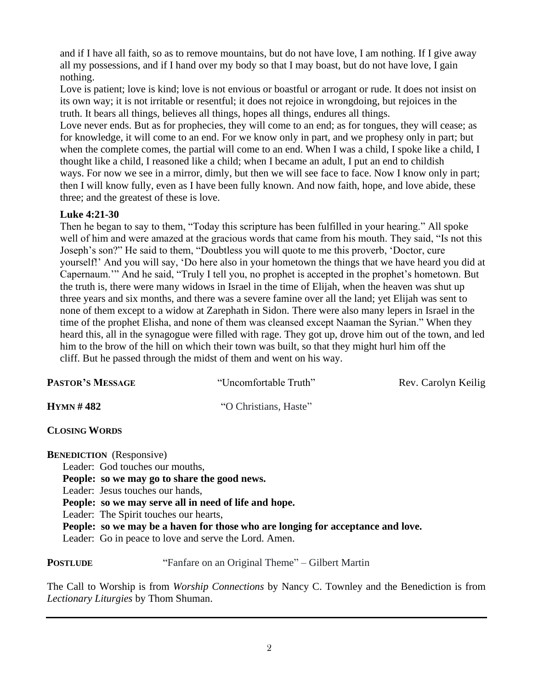and if I have all faith, so as to remove mountains, but do not have love, I am nothing. If I give away all my possessions, and if I hand over my body so that I may boast, but do not have love, I gain nothing.

 Love is patient; love is kind; love is not envious or boastful or arrogant or rude. It does not insist on its own way; it is not irritable or resentful; it does not rejoice in wrongdoing, but rejoices in the truth. It bears all things, believes all things, hopes all things, endures all things.

Love never ends. But as for prophecies, they will come to an end; as for tongues, they will cease; as for knowledge, it will come to an end. For we know only in part, and we prophesy only in part; but when the complete comes, the partial will come to an end. When I was a child, I spoke like a child, I thought like a child, I reasoned like a child; when I became an adult, I put an end to childish ways. For now we see in a mirror, dimly, but then we will see face to face. Now I know only in part; then I will know fully, even as I have been fully known. And now faith, hope, and love abide, these three; and the greatest of these is love.

# **Luke 4:21-30**

 Then he began to say to them, "Today this scripture has been fulfilled in your hearing." All spoke well of him and were amazed at the gracious words that came from his mouth. They said, "Is not this Joseph's son?" He said to them, "Doubtless you will quote to me this proverb, 'Doctor, cure yourself!' And you will say, 'Do here also in your hometown the things that we have heard you did at Capernaum.'" And he said, "Truly I tell you, no prophet is accepted in the prophet's hometown. But the truth is, there were many widows in Israel in the time of Elijah, when the heaven was shut up three years and six months, and there was a severe famine over all the land; yet Elijah was sent to none of them except to a widow at Zarephath in Sidon. There were also many lepers in Israel in the time of the prophet Elisha, and none of them was cleansed except Naaman the Syrian." When they heard this, all in the synagogue were filled with rage. They got up, drove him out of the town, and led him to the brow of the hill on which their town was built, so that they might hurl him off the cliff. But he passed through the midst of them and went on his way.

| <b>PASTOR'S MESSAGE</b>                      | "Uncomfortable Truth" | Rev. Carolyn Keilig |
|----------------------------------------------|-----------------------|---------------------|
| $H$ YMN #482                                 | "O Christians, Haste" |                     |
| <b>CLOSING WORDS</b>                         |                       |                     |
| <b>BENEDICTION</b> (Responsive)              |                       |                     |
| Leader: God touches our mouths,              |                       |                     |
| People: so we may go to share the good news. |                       |                     |

Leader: Jesus touches our hands,

 **People: so we may serve all in need of life and hope.**

Leader: The Spirit touches our hearts,

 **People: so we may be a haven for those who are longing for acceptance and love.**

Leader: Go in peace to love and serve the Lord. Amen.

# **POSTLUDE** "Fanfare on an Original Theme" – Gilbert Martin

The Call to Worship is from *Worship Connections* by Nancy C. Townley and the Benediction is from *Lectionary Liturgies* by Thom Shuman.